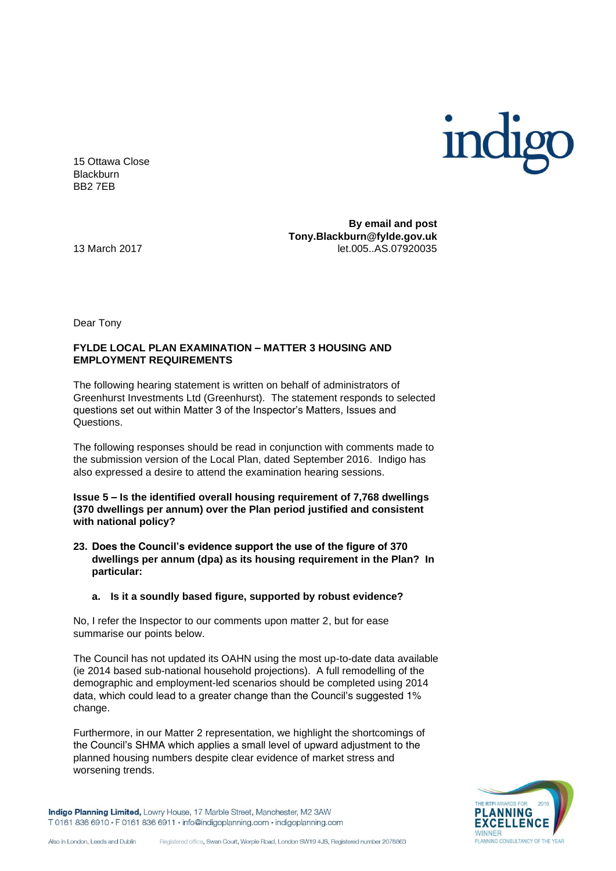

15 Ottawa Close **Blackburn** BB2 7EB

**By email and post Tony.Blackburn@fylde.gov.uk**  13 March 2017 let.005..AS.07920035

Dear Tony

## **FYLDE LOCAL PLAN EXAMINATION – MATTER 3 HOUSING AND EMPLOYMENT REQUIREMENTS**

The following hearing statement is written on behalf of administrators of Greenhurst Investments Ltd (Greenhurst). The statement responds to selected questions set out within Matter 3 of the Inspector's Matters, Issues and Questions.

The following responses should be read in conjunction with comments made to the submission version of the Local Plan, dated September 2016. Indigo has also expressed a desire to attend the examination hearing sessions.

**Issue 5 – Is the identified overall housing requirement of 7,768 dwellings (370 dwellings per annum) over the Plan period justified and consistent with national policy?** 

- **23. Does the Council's evidence support the use of the figure of 370 dwellings per annum (dpa) as its housing requirement in the Plan? In particular:**
	- **a. Is it a soundly based figure, supported by robust evidence?**

No, I refer the Inspector to our comments upon matter 2, but for ease summarise our points below.

The Council has not updated its OAHN using the most up-to-date data available (ie 2014 based sub-national household projections). A full remodelling of the demographic and employment-led scenarios should be completed using 2014 data, which could lead to a greater change than the Council's suggested 1% change.

Furthermore, in our Matter 2 representation, we highlight the shortcomings of the Council's SHMA which applies a small level of upward adjustment to the planned housing numbers despite clear evidence of market stress and worsening trends.



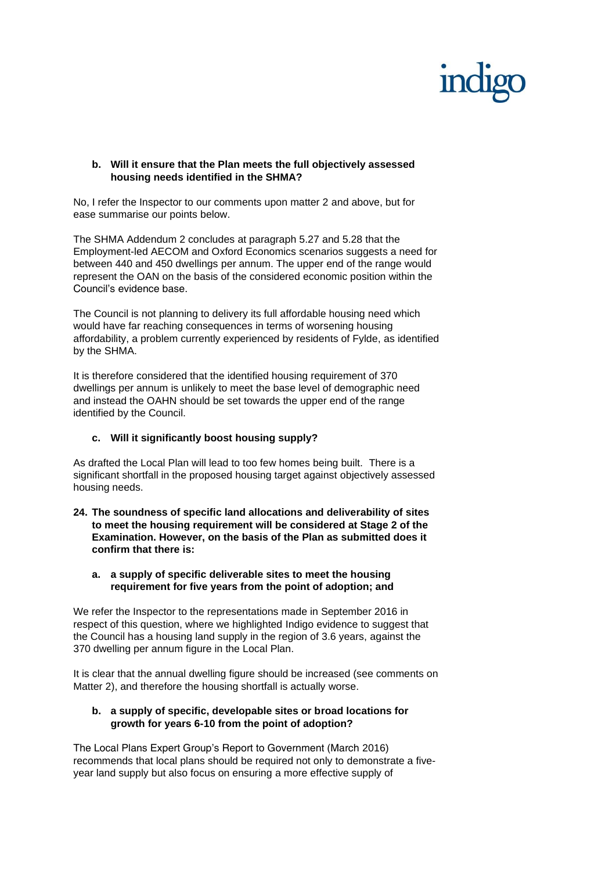## **b. Will it ensure that the Plan meets the full objectively assessed housing needs identified in the SHMA?**

No, I refer the Inspector to our comments upon matter 2 and above, but for ease summarise our points below.

The SHMA Addendum 2 concludes at paragraph 5.27 and 5.28 that the Employment-led AECOM and Oxford Economics scenarios suggests a need for between 440 and 450 dwellings per annum. The upper end of the range would represent the OAN on the basis of the considered economic position within the Council's evidence base.

The Council is not planning to delivery its full affordable housing need which would have far reaching consequences in terms of worsening housing affordability, a problem currently experienced by residents of Fylde, as identified by the SHMA.

It is therefore considered that the identified housing requirement of 370 dwellings per annum is unlikely to meet the base level of demographic need and instead the OAHN should be set towards the upper end of the range identified by the Council.

# **c. Will it significantly boost housing supply?**

As drafted the Local Plan will lead to too few homes being built. There is a significant shortfall in the proposed housing target against objectively assessed housing needs.

- **24. The soundness of specific land allocations and deliverability of sites to meet the housing requirement will be considered at Stage 2 of the Examination. However, on the basis of the Plan as submitted does it confirm that there is:**
	- **a. a supply of specific deliverable sites to meet the housing requirement for five years from the point of adoption; and**

We refer the Inspector to the representations made in September 2016 in respect of this question, where we highlighted Indigo evidence to suggest that the Council has a housing land supply in the region of 3.6 years, against the 370 dwelling per annum figure in the Local Plan.

It is clear that the annual dwelling figure should be increased (see comments on Matter 2), and therefore the housing shortfall is actually worse.

## **b. a supply of specific, developable sites or broad locations for growth for years 6-10 from the point of adoption?**

The Local Plans Expert Group's Report to Government (March 2016) recommends that local plans should be required not only to demonstrate a fiveyear land supply but also focus on ensuring a more effective supply of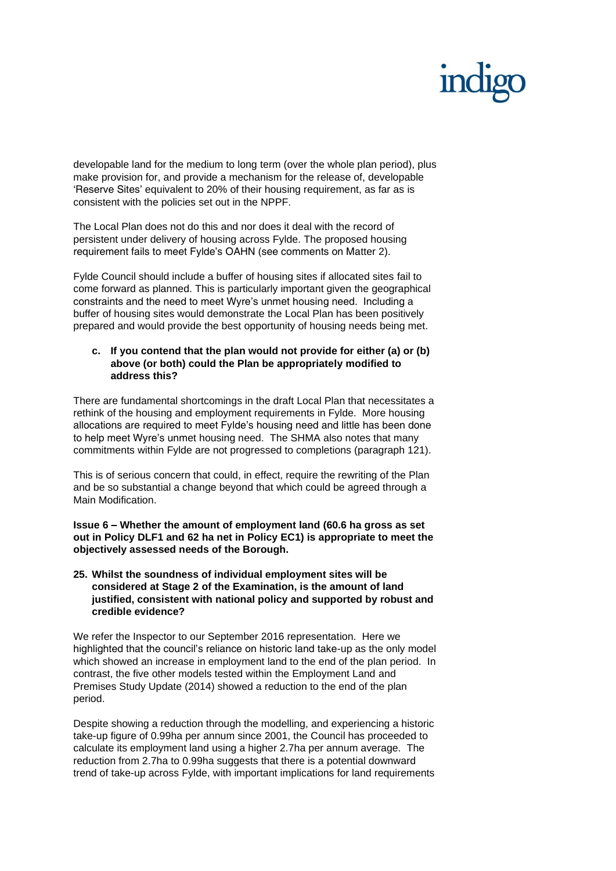developable land for the medium to long term (over the whole plan period), plus make provision for, and provide a mechanism for the release of, developable 'Reserve Sites' equivalent to 20% of their housing requirement, as far as is consistent with the policies set out in the NPPF.

The Local Plan does not do this and nor does it deal with the record of persistent under delivery of housing across Fylde. The proposed housing requirement fails to meet Fylde's OAHN (see comments on Matter 2).

Fylde Council should include a buffer of housing sites if allocated sites fail to come forward as planned. This is particularly important given the geographical constraints and the need to meet Wyre's unmet housing need. Including a buffer of housing sites would demonstrate the Local Plan has been positively prepared and would provide the best opportunity of housing needs being met.

## **c. If you contend that the plan would not provide for either (a) or (b) above (or both) could the Plan be appropriately modified to address this?**

There are fundamental shortcomings in the draft Local Plan that necessitates a rethink of the housing and employment requirements in Fylde. More housing allocations are required to meet Fylde's housing need and little has been done to help meet Wyre's unmet housing need. The SHMA also notes that many commitments within Fylde are not progressed to completions (paragraph 121).

This is of serious concern that could, in effect, require the rewriting of the Plan and be so substantial a change beyond that which could be agreed through a Main Modification.

**Issue 6 – Whether the amount of employment land (60.6 ha gross as set out in Policy DLF1 and 62 ha net in Policy EC1) is appropriate to meet the objectively assessed needs of the Borough.** 

## **25. Whilst the soundness of individual employment sites will be considered at Stage 2 of the Examination, is the amount of land justified, consistent with national policy and supported by robust and credible evidence?**

We refer the Inspector to our September 2016 representation. Here we highlighted that the council's reliance on historic land take-up as the only model which showed an increase in employment land to the end of the plan period. In contrast, the five other models tested within the Employment Land and Premises Study Update (2014) showed a reduction to the end of the plan period.

Despite showing a reduction through the modelling, and experiencing a historic take-up figure of 0.99ha per annum since 2001, the Council has proceeded to calculate its employment land using a higher 2.7ha per annum average. The reduction from 2.7ha to 0.99ha suggests that there is a potential downward trend of take-up across Fylde, with important implications for land requirements